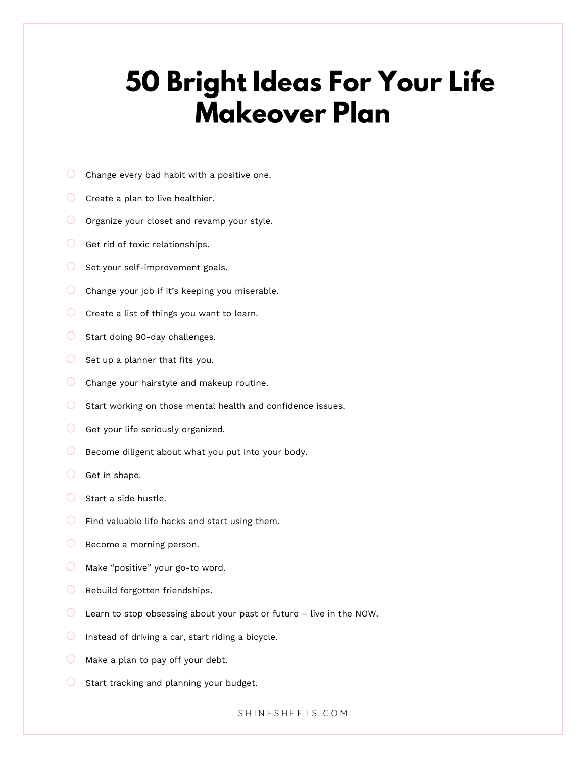## **50 Bright Ideas For Your Life Makeover Plan**

- $\circ$  Change every bad habit with a positive one.
- $\circ$  Create a plan to live healthier.
- $\bigcirc$  Organize your closet and revamp your style.
- $\bigcirc$  Get rid of toxic relationships.
- $\bigcirc$  Set your self-improvement goals.
- $\bigcirc$  Change your job if it's keeping you miserable.
- $\bigcirc$  Create a list of things you want to learn.
- $\circ$  Start doing 90-day challenges.
- $\bigcirc$  Set up a planner that fits you.
- $\bigcirc$  Change your hairstyle and makeup routine.
- $\circ$  Start working on those mental health and confidence issues.
- $\bigcirc$  Get your life seriously organized.
- $\bigcirc$  Become diligent about what you put into your body.
- $\circ$  Get in shape.
- $\circ$  Start a side hustle.
- $\bigcirc$  Find valuable life hacks and start using them.
- $\bigcirc$  Become a morning person.
- $\bigcirc$  Make "positive" your go-to word.
- $\bigcirc$  Rebuild forgotten friendships.
- $\circ$  Learn to stop obsessing about your past or future live in the NOW.
- $\bigcirc$  Instead of driving a car, start riding a bicycle.
- $\bigcirc$  Make a plan to pay off your debt.
- $\bigcirc$  Start tracking and planning your budget.

S H I N E S H E E T S . C O M